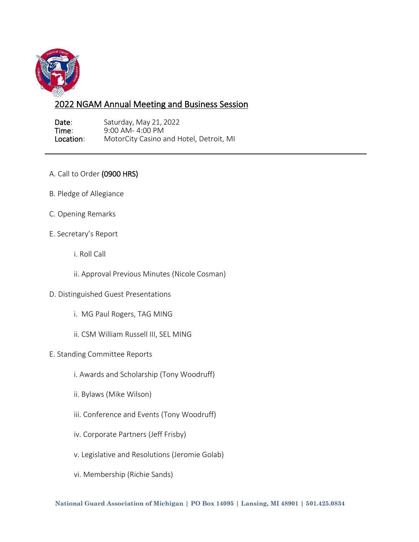

## 2022 NGAM Annual Meeting and Business Session

**Date:** Saturday, May 21, 2022<br> **Time:** 9:00 AM-4:00 PM **Time:** 9:00 AM- 4:00 PM<br> **Location:** MotorCity Casino a MotorCity Casino and Hotel, Detroit, MI

- A. Call to Order (0900 HRS)
- B. Pledge of Allegiance
- C. Opening Remarks
- E. Secretary's Report
	- i. Roll Call
	- ii. Approval Previous Minutes (Nicole Cosman)
- D. Distinguished Guest Presentations
	- i. MG Paul Rogers, TAG MING
	- ii. CSM William Russell III, SEL MING
- E. Standing Committee Reports
	- i. Awards and Scholarship (Tony Woodruff)
	- ii. Bylaws (Mike Wilson)
	- iii. Conference and Events (Tony Woodruff)
	- iv. Corporate Partners (Jeff Frisby)
	- v. Legislative and Resolutions (Jeromie Golab)
	- vi. Membership (Richie Sands)